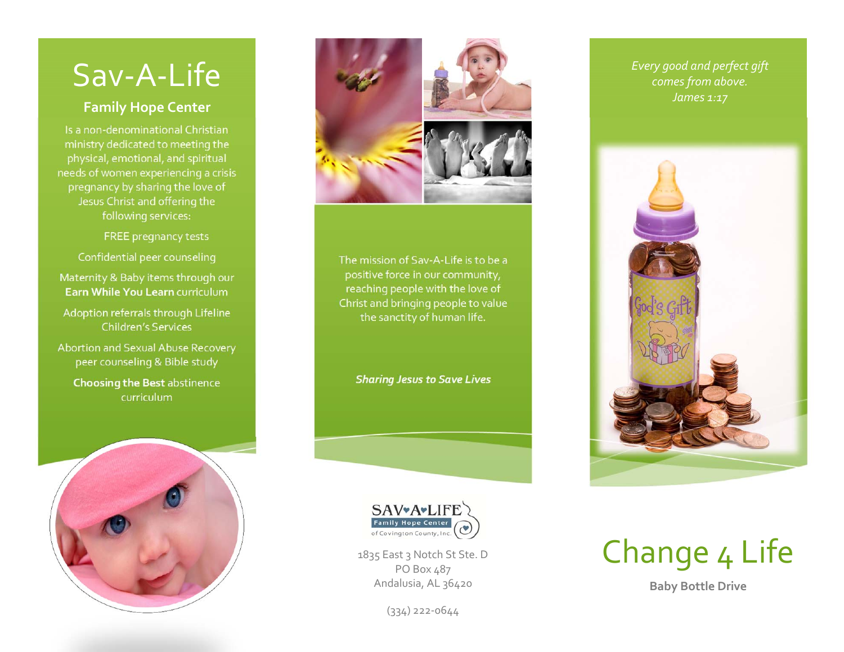## Sav‐A‐Life

## **Family Hope Center**

Is a non‐denominational Christianministry dedicated to meeting the physical, emotional, and spiritual needs of women experiencing <sup>a</sup> crisis pregnancy by sharing the love of Jesus Christ and offering the following services:

FREE pregnancy tests

Confidential peer counseling

Maternity & Baby items through our **Earn While You Learn** curriculum

Adoption referrals through Lifeline Children's Services

Abortion and Sexual Abuse Recovery peer counseling & Bible study

**Choosing the Best** abstinence curriculum





The mission of Sav‐A‐Life is to be <sup>a</sup> positive force in our community, reaching people with the love of Christ and bringing people to value the sanctity of human life.

*Sharing Jesus to Save Lives*



1835 East 3 Notch St Ste. D PO Box 487 Andalusia, AL 36420

(334) <sup>222</sup>‐0644

*Every good and perfect gift comes from above. James 1:17*





**Baby Bottle Drive**